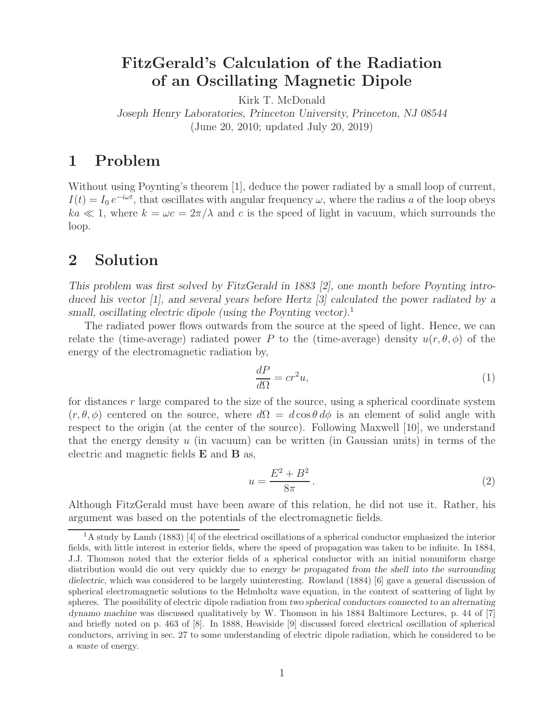# **FitzGerald's Calculation of the Radiation of an Oscillating Magnetic Dipole**

Kirk T. McDonald

*Joseph Henry Laboratories, Princeton University, Princeton, NJ 08544* (June 20, 2010; updated July 20, 2019)

## **1 Problem**

Without using Poynting's theorem [1], deduce the power radiated by a small loop of current,  $I(t) = I_0 e^{-i\omega t}$ , that oscillates with angular frequency  $\omega$ , where the radius a of the loop obeys  $ka \ll 1$ , where  $k = \omega c = 2\pi/\lambda$  and c is the speed of light in vacuum, which surrounds the loop.

### **2 Solution**

*This problem was first solved by FitzGerald in 1883 [2], one month before Poynting introduced his vector [1], and several years before Hertz [3] calculated the power radiated by a small, oscillating electric dipole (using the Poynting vector).*<sup>1</sup>

The radiated power flows outwards from the source at the speed of light. Hence, we can relate the (time-average) radiated power P to the (time-average) density  $u(r, \theta, \phi)$  of the energy of the electromagnetic radiation by,

$$
\frac{dP}{d\Omega} = cr^2 u,\tag{1}
$$

for distances r large compared to the size of the source, using a spherical coordinate system  $(r, \theta, \phi)$  centered on the source, where  $d\Omega = d\cos\theta d\phi$  is an element of solid angle with respect to the origin (at the center of the source). Following Maxwell [10], we understand that the energy density  $u$  (in vacuum) can be written (in Gaussian units) in terms of the electric and magnetic fields **E** and **B** as,

$$
u = \frac{E^2 + B^2}{8\pi}.
$$
\n<sup>(2)</sup>

Although FitzGerald must have been aware of this relation, he did not use it. Rather, his argument was based on the potentials of the electromagnetic fields.

<sup>&</sup>lt;sup>1</sup>A study by Lamb (1883) [4] of the electrical oscillations of a spherical conductor emphasized the interior fields, with little interest in exterior fields, where the speed of propagation was taken to be infinite. In 1884, J.J. Thomson noted that the exterior fields of a spherical conductor with an initial nonuniform charge distribution would die out very quickly due to *energy be propagated from the shell into the surrounding dielectric*, which was considered to be largely uninteresting. Rowland (1884) [6] gave a general discussion of spherical electromagnetic solutions to the Helmholtz wave equation, in the context of scattering of light by spheres. The possibility of electric dipole radiation from *two spherical conductors connected to an alternating dynamo machine* was discussed qualitatively by W. Thomson in his 1884 Baltimore Lectures, p. 44 of [7] and briefly noted on p. 463 of [8]. In 1888, Heaviside [9] discussed forced electrical oscillation of spherical conductors, arriving in sec. 27 to some understanding of electric dipole radiation, which he considered to be a *waste* of energy.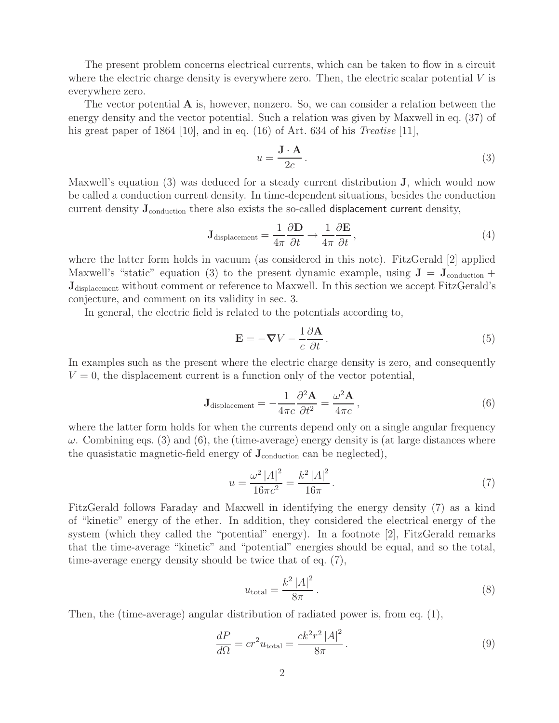The present problem concerns electrical currents, which can be taken to flow in a circuit where the electric charge density is everywhere zero. Then, the electric scalar potential  $V$  is everywhere zero.

The vector potential **A** is, however, nonzero. So, we can consider a relation between the energy density and the vector potential. Such a relation was given by Maxwell in eq. (37) of his great paper of 1864 [10], and in eq. (16) of Art. 634 of his *Treatise* [11],

$$
u = \frac{\mathbf{J} \cdot \mathbf{A}}{2c} \,. \tag{3}
$$

Maxwell's equation (3) was deduced for a steady current distribution **J**, which would now be called a conduction current density. In time-dependent situations, besides the conduction current density **J**conduction there also exists the so-called displacement current density,

$$
\mathbf{J}_{\text{displacement}} = \frac{1}{4\pi} \frac{\partial \mathbf{D}}{\partial t} \to \frac{1}{4\pi} \frac{\partial \mathbf{E}}{\partial t},\tag{4}
$$

where the latter form holds in vacuum (as considered in this note). FitzGerald [2] applied Maxwell's "static" equation (3) to the present dynamic example, using  $J = J_{\text{conduction}} +$ **J**displacement without comment or reference to Maxwell. In this section we accept FitzGerald's conjecture, and comment on its validity in sec. 3.

In general, the electric field is related to the potentials according to,

$$
\mathbf{E} = -\nabla V - \frac{1}{c} \frac{\partial \mathbf{A}}{\partial t}.
$$
 (5)

In examples such as the present where the electric charge density is zero, and consequently  $V = 0$ , the displacement current is a function only of the vector potential,

$$
\mathbf{J}_{\text{displacement}} = -\frac{1}{4\pi c} \frac{\partial^2 \mathbf{A}}{\partial t^2} = \frac{\omega^2 \mathbf{A}}{4\pi c},\tag{6}
$$

where the latter form holds for when the currents depend only on a single angular frequency  $\omega$ . Combining eqs. (3) and (6), the (time-average) energy density is (at large distances where the quasistatic magnetic-field energy of  $J_{\text{conduction}}$  can be neglected),

$$
u = \frac{\omega^2 |A|^2}{16\pi c^2} = \frac{k^2 |A|^2}{16\pi}.
$$
 (7)

FitzGerald follows Faraday and Maxwell in identifying the energy density (7) as a kind of "kinetic" energy of the ether. In addition, they considered the electrical energy of the system (which they called the "potential" energy). In a footnote [2], FitzGerald remarks that the time-average "kinetic" and "potential" energies should be equal, and so the total, time-average energy density should be twice that of eq. (7),

$$
u_{\text{total}} = \frac{k^2 |A|^2}{8\pi}.
$$
 (8)

Then, the (time-average) angular distribution of radiated power is, from eq. (1),

$$
\frac{dP}{d\Omega} = cr^2 u_{\text{total}} = \frac{ck^2r^2|A|^2}{8\pi}.
$$
\n(9)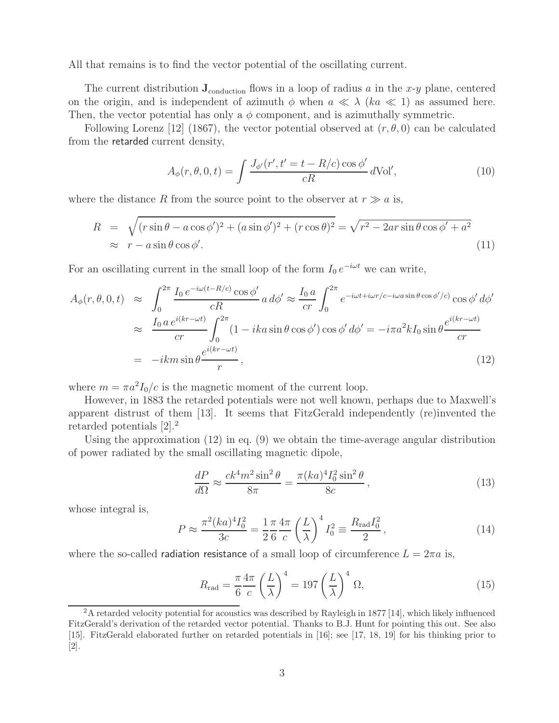All that remains is to find the vector potential of the oscillating current.

The current distribution  $J_{\text{conduction}}$  flows in a loop of radius a in the x-y plane, centered on the origin, and is independent of azimuth  $\phi$  when  $a \ll \lambda$  (ka  $\ll 1$ ) as assumed here. Then, the vector potential has only a  $\phi$  component, and is azimuthally symmetric.

Following Lorenz [12] (1867), the vector potential observed at  $(r, \theta, 0)$  can be calculated from the retarded current density,

$$
A_{\phi}(r,\theta,0,t) = \int \frac{J_{\phi'}(r',t'=t-R/c)\cos\phi'}{cR} d\text{Vol}',\tag{10}
$$

where the distance R from the source point to the observer at  $r \gg a$  is,

$$
R = \sqrt{(r\sin\theta - a\cos\phi')^2 + (a\sin\phi')^2 + (r\cos\theta)^2} = \sqrt{r^2 - 2ar\sin\theta\cos\phi' + a^2}
$$
  
 
$$
\approx r - a\sin\theta\cos\phi'.
$$
 (11)

For an oscillating current in the small loop of the form  $I_0 e^{-i\omega t}$  we can write,

$$
A_{\phi}(r,\theta,0,t) \approx \int_0^{2\pi} \frac{I_0 e^{-i\omega(t-R/c)} \cos \phi'}{cR} a d\phi' \approx \frac{I_0 a}{cr} \int_0^{2\pi} e^{-i\omega t + i\omega r/c - i\omega a \sin \theta \cos \phi'/c)} \cos \phi' d\phi'
$$
  

$$
\approx \frac{I_0 a e^{i(kr - \omega t)}}{cr} \int_0^{2\pi} (1 - ika \sin \theta \cos \phi') \cos \phi' d\phi' = -i\pi a^2 k I_0 \sin \theta \frac{e^{i(kr - \omega t)}}{cr}
$$
  

$$
= -ikm \sin \theta \frac{e^{i(kr - \omega t)}}{r}, \qquad (12)
$$

where  $m = \pi a^2 I_0/c$  is the magnetic moment of the current loop.

However, in 1883 the retarded potentials were not well known, perhaps due to Maxwell's apparent distrust of them [13]. It seems that FitzGerald independently (re)invented the retarded potentials [2].<sup>2</sup>

Using the approximation (12) in eq. (9) we obtain the time-average angular distribution of power radiated by the small oscillating magnetic dipole,

$$
\frac{dP}{d\Omega} \approx \frac{ck^4 m^2 \sin^2 \theta}{8\pi} = \frac{\pi (ka)^4 I_0^2 \sin^2 \theta}{8c},\tag{13}
$$

whose integral is,

$$
P \approx \frac{\pi^2 (ka)^4 I_0^2}{3c} = \frac{1}{2} \frac{\pi}{6} \frac{4\pi}{c} \left(\frac{L}{\lambda}\right)^4 I_0^2 \equiv \frac{R_{\text{rad}} I_0^2}{2},\tag{14}
$$

where the so-called radiation resistance of a small loop of circumference  $L = 2\pi a$  is,

$$
R_{\rm rad} = \frac{\pi}{6} \frac{4\pi}{c} \left(\frac{L}{\lambda}\right)^4 = 197 \left(\frac{L}{\lambda}\right)^4 \Omega,\tag{15}
$$

<sup>2</sup>A retarded velocity potential for acoustics was described by Rayleigh in 1877 [14], which likely influenced FitzGerald's derivation of the retarded vector potential. Thanks to B.J. Hunt for pointing this out. See also [15]. FitzGerald elaborated further on retarded potentials in [16]; see [17, 18, 19] for his thinking prior to [2].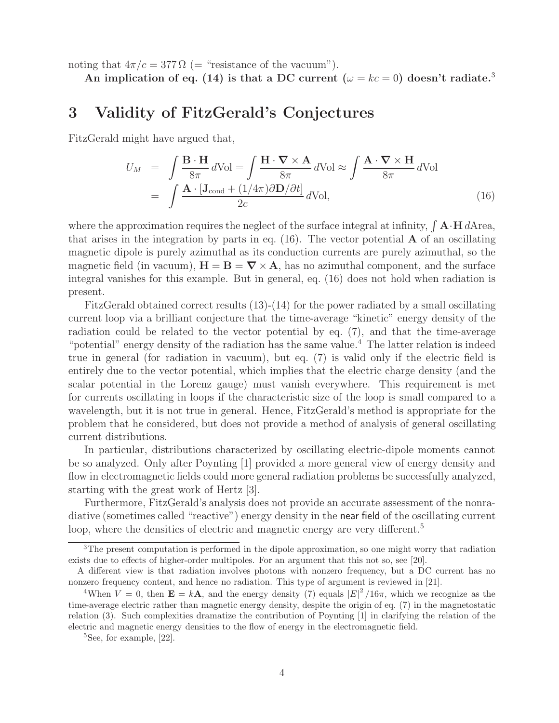noting that  $4\pi/c = 377 \Omega$  (= "resistance of the vacuum").

An implication of eq. (14) is that a DC current  $(\omega = kc = 0)$  doesn't radiate.<sup>3</sup>

#### **3 Validity of FitzGerald's Conjectures**

FitzGerald might have argued that,

$$
U_M = \int \frac{\mathbf{B} \cdot \mathbf{H}}{8\pi} d\text{Vol} = \int \frac{\mathbf{H} \cdot \nabla \times \mathbf{A}}{8\pi} d\text{Vol} \approx \int \frac{\mathbf{A} \cdot \nabla \times \mathbf{H}}{8\pi} d\text{Vol}
$$
  
= 
$$
\int \frac{\mathbf{A} \cdot [\mathbf{J}_{\text{cond}} + (1/4\pi)\partial \mathbf{D}/\partial t]}{2c} d\text{Vol},
$$
 (16)

where the approximation requires the neglect of the surface integral at infinity,  $\int \mathbf{A} \cdot \mathbf{H} dA$  rea, that arises in the integration by parts in eq.  $(16)$ . The vector potential **A** of an oscillating magnetic dipole is purely azimuthal as its conduction currents are purely azimuthal, so the magnetic field (in vacuum),  $\mathbf{H} = \mathbf{B} = \nabla \times \mathbf{A}$ , has no azimuthal component, and the surface integral vanishes for this example. But in general, eq. (16) does not hold when radiation is present.

FitzGerald obtained correct results (13)-(14) for the power radiated by a small oscillating current loop via a brilliant conjecture that the time-average "kinetic" energy density of the radiation could be related to the vector potential by eq. (7), and that the time-average "potential" energy density of the radiation has the same value.<sup>4</sup> The latter relation is indeed true in general (for radiation in vacuum), but eq. (7) is valid only if the electric field is entirely due to the vector potential, which implies that the electric charge density (and the scalar potential in the Lorenz gauge) must vanish everywhere. This requirement is met for currents oscillating in loops if the characteristic size of the loop is small compared to a wavelength, but it is not true in general. Hence, FitzGerald's method is appropriate for the problem that he considered, but does not provide a method of analysis of general oscillating current distributions.

In particular, distributions characterized by oscillating electric-dipole moments cannot be so analyzed. Only after Poynting [1] provided a more general view of energy density and flow in electromagnetic fields could more general radiation problems be successfully analyzed, starting with the great work of Hertz [3].

Furthermore, FitzGerald's analysis does not provide an accurate assessment of the nonradiative (sometimes called "reactive") energy density in the near field of the oscillating current loop, where the densities of electric and magnetic energy are very different.<sup>5</sup>

 $3$ The present computation is performed in the dipole approximation, so one might worry that radiation exists due to effects of higher-order multipoles. For an argument that this not so, see [20].

A different view is that radiation involves photons with nonzero frequency, but a DC current has no nonzero frequency content, and hence no radiation. This type of argument is reviewed in [21].

<sup>&</sup>lt;sup>4</sup>When  $V = 0$ , then  $\mathbf{E} = k\mathbf{A}$ , and the energy density (7) equals  $|E|^2/16\pi$ , which we recognize as the time-average electric rather than magnetic energy density, despite the origin of eq. (7) in the magnetostatic relation (3). Such complexities dramatize the contribution of Poynting [1] in clarifying the relation of the electric and magnetic energy densities to the flow of energy in the electromagnetic field.

 ${}^{5}$ See, for example, [22].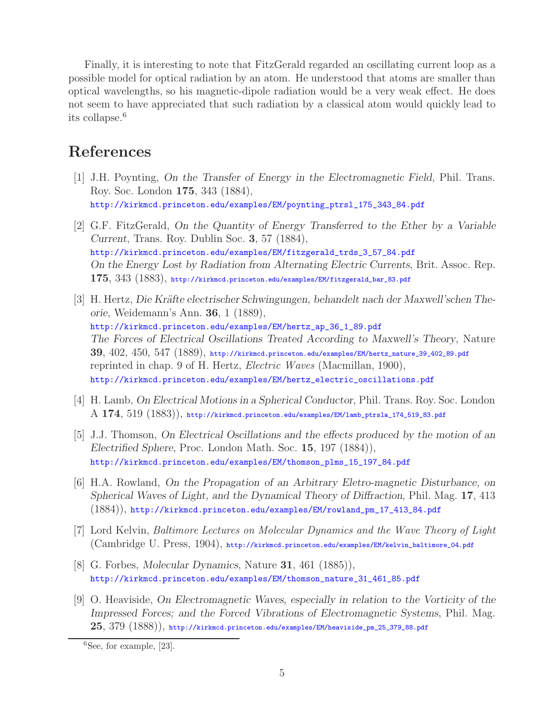Finally, it is interesting to note that FitzGerald regarded an oscillating current loop as a possible model for optical radiation by an atom. He understood that atoms are smaller than optical wavelengths, so his magnetic-dipole radiation would be a very weak effect. He does not seem to have appreciated that such radiation by a classical atom would quickly lead to its collapse.<sup>6</sup>

### **References**

- [1] J.H. Poynting, *On the Transfer of Energy in the Electromagnetic Field*, Phil. Trans. Roy. Soc. London **175**, 343 (1884), http://kirkmcd.princeton.edu/examples/EM/poynting\_ptrsl\_175\_343\_84.pdf
- [2] G.F. FitzGerald, *On the Quantity of Energy Transferred to the Ether by a Variable Current*, Trans. Roy. Dublin Soc. **3**, 57 (1884), http://kirkmcd.princeton.edu/examples/EM/fitzgerald\_trds\_3\_57\_84.pdf *On the Energy Lost by Radiation from Alternating Electric Currents*, Brit. Assoc. Rep. **175**, 343 (1883), http://kirkmcd.princeton.edu/examples/EM/fitzgerald\_bar\_83.pdf
- [3] H. Hertz, *Die Kräfte electrischer Schwingungen, behandelt nach der Maxwell'schen Theorie*, Weidemann's Ann. **36**, 1 (1889), http://kirkmcd.princeton.edu/examples/EM/hertz\_ap\_36\_1\_89.pdf *The Forces of Electrical Oscillations Treated According to Maxwell's Theory*, Nature **39**, 402, 450, 547 (1889), http://kirkmcd.princeton.edu/examples/EM/hertz\_nature\_39\_402\_89.pdf reprinted in chap. 9 of H. Hertz, *Electric Waves* (Macmillan, 1900), http://kirkmcd.princeton.edu/examples/EM/hertz\_electric\_oscillations.pdf
- [4] H. Lamb, *On Electrical Motions in a Spherical Conductor*, Phil. Trans. Roy. Soc. London A **174**, 519 (1883)), http://kirkmcd.princeton.edu/examples/EM/lamb\_ptrsla\_174\_519\_83.pdf
- [5] J.J. Thomson, *On Electrical Oscillations and the effects produced by the motion of an Electrified Sphere*, Proc. London Math. Soc. **15**, 197 (1884)), http://kirkmcd.princeton.edu/examples/EM/thomson\_plms\_15\_197\_84.pdf
- [6] H.A. Rowland, *On the Propagation of an Arbitrary Eletro-magnetic Disturbance, on Spherical Waves of Light, and the Dynamical Theory of Diffraction*, Phil. Mag. **17**, 413 (1884)), http://kirkmcd.princeton.edu/examples/EM/rowland\_pm\_17\_413\_84.pdf
- [7] Lord Kelvin, *Baltimore Lectures on Molecular Dynamics and the Wave Theory of Light* (Cambridge U. Press, 1904), http://kirkmcd.princeton.edu/examples/EM/kelvin\_baltimore\_04.pdf
- [8] G. Forbes, *Molecular Dynamics*, Nature **31**, 461 (1885)), http://kirkmcd.princeton.edu/examples/EM/thomson\_nature\_31\_461\_85.pdf
- [9] O. Heaviside, *On Electromagnetic Waves, especially in relation to the Vorticity of the Impressed Forces; and the Forced Vibrations of Electromagnetic Systems*, Phil. Mag. **25**, 379 (1888)), http://kirkmcd.princeton.edu/examples/EM/heaviside\_pm\_25\_379\_88.pdf

 ${}^{6}$ See, for example, [23].